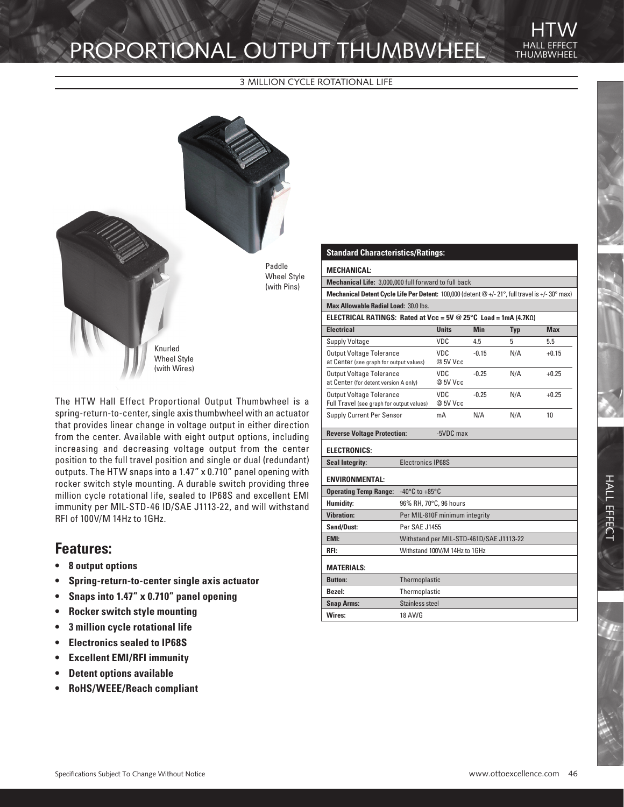# PROPORTIONAL OUTPUT THUMBWHEEL

3 MILLION CYCLE ROTATIONAL LIFE



The HTW Hall Effect Proportional Output Thumbwheel is a spring-return-to-center, single axis thumbwheel with an actuator that provides linear change in voltage output in either direction from the center. Available with eight output options, including increasing and decreasing voltage output from the center position to the full travel position and single or dual (redundant) outputs. The HTW snaps into a 1.47" x 0.710" panel opening with rocker switch style mounting. A durable switch providing three million cycle rotational life, sealed to IP68S and excellent EMI immunity per MIL-STD-46 ID/SAE J1113-22, and will withstand RFI of 100V/M 14Hz to 1GHz.

### **Features:**

- **• 8 output options**
- **• Spring-return-to-center single axis actuator**
- **• Snaps into 1.47" x 0.710" panel opening**
- **• Rocker switch style mounting**
- **• 3 million cycle rotational life**
- **• Electronics sealed to IP68S**
- **• Excellent EMI/RFI immunity**
- **• Detent options available**
- **• RoHS/WEEE/Reach compliant**

#### **Standard Characteristics/Ratings:**

#### **MECHANICAL:**

**Mechanical Life:** 3,000,000 full forward to full back

**Mechanical Detent Cycle Life Per Detent:** 100,000 (detent @ +/- 21°, full travel is +/- 30° max) **Max Allowable Radial Load:** 30.0 lbs.

THUMBWHEEL

**HTW** 

| <b>ELECTRICAL RATINGS: Rated at Vcc = 5V @ 25°C Load = 1mA (4.7KQ)</b>       |                 |            |     |            |
|------------------------------------------------------------------------------|-----------------|------------|-----|------------|
| <b>Electrical</b>                                                            | <b>Units</b>    | <b>Min</b> | Typ | <b>Max</b> |
| <b>Supply Voltage</b>                                                        | <b>VDC</b>      | 4.5        | 5   | 5.5        |
| <b>Output Voltage Tolerance</b><br>at Center (see graph for output values)   | VDC<br>@ 5V Vcc | $-0.15$    | N/A | $+0.15$    |
| <b>Output Voltage Tolerance</b><br>at Center (for detent version A only)     | VDC<br>@ 5V Vcc | $-0.25$    | N/A | $+0.25$    |
| <b>Output Voltage Tolerance</b><br>Full Travel (see graph for output values) | VDC<br>@ 5V Vcc | $-0.25$    | N/A | $+0.25$    |
| Supply Current Per Sensor                                                    | mA              | N/A        | N/A | 10         |

| <b>Reverse Voltage Protection:</b><br>$-5VDC$ max |                                         |  |
|---------------------------------------------------|-----------------------------------------|--|
| <b>ELECTRONICS:</b>                               |                                         |  |
| <b>Seal Integrity:</b>                            | <b>Electronics IP68S</b>                |  |
| <b>ENVIRONMENTAL:</b>                             |                                         |  |
| <b>Operating Temp Range:</b>                      | $-40^{\circ}$ C to $+85^{\circ}$ C      |  |
| <b>Humidity:</b>                                  | 96% RH, 70°C, 96 hours                  |  |
| <b>Vibration:</b>                                 | Per MIL-810F minimum integrity          |  |
| <b>Sand/Dust:</b>                                 | Per SAE J1455                           |  |
| EMI:                                              | Withstand per MIL-STD-461D/SAE J1113-22 |  |
| RFI:                                              | Withstand 100V/M 14Hz to 1GHz           |  |
| <b>MATERIALS:</b>                                 |                                         |  |
| <b>Button:</b>                                    | Thermoplastic                           |  |
| Bezel:                                            | Thermoplastic                           |  |
| <b>Snap Arms:</b>                                 | Stainless steel                         |  |
| Wires:                                            | <b>18 AWG</b>                           |  |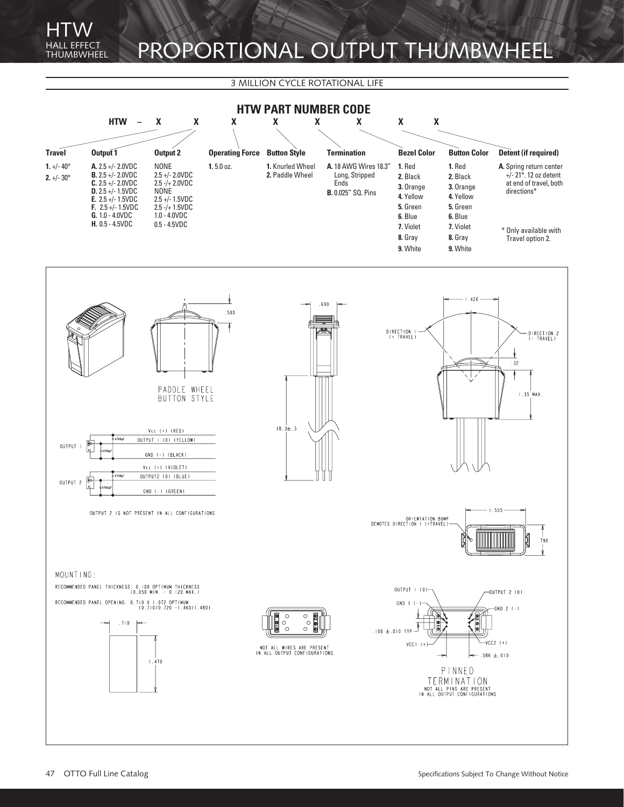## EFFECT PROPORTIONAL OUTPUT THUMBWHEEL

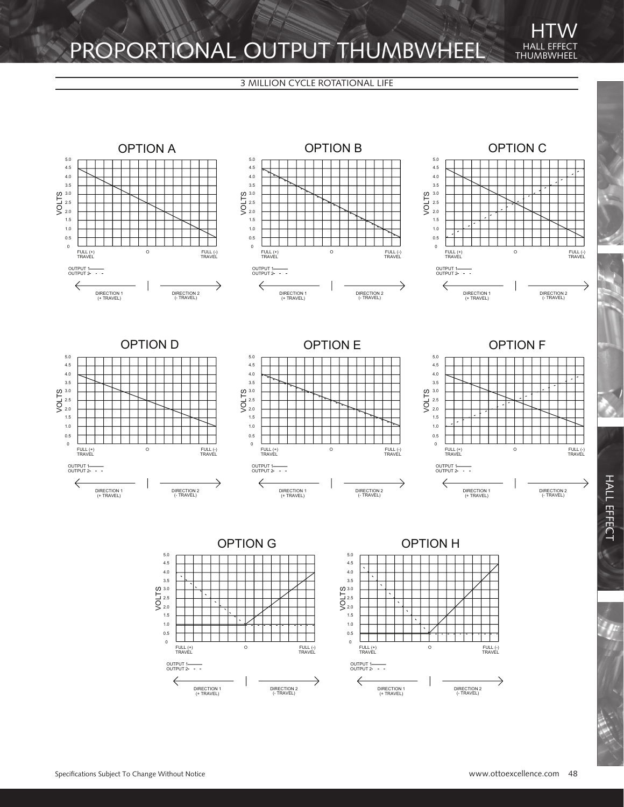### PROPORTIONAL OUTPUT THUMBWHEEL HALL EFFECT

3 MILLION CYCLE ROTATIONAL LIFE



DIRECTION 1 (+ TRAVEL)

 $\Leftarrow$ 

Specifications Subject To Change Without Notice www.ottoexcellence.com 48

DIRECTION 1 (+ TRAVEL)

 $\Leftarrow$ 

DIRECTION 2 (- TRAVEL)

 $\rightarrow$ 

DIRECTION 2 (- TRAVEL)

→

**HI IMBW** 

**HTW**